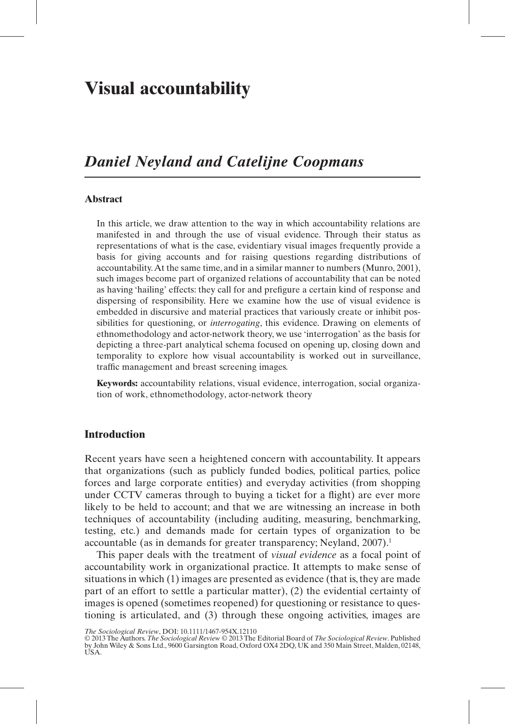# **Visual accountability**

# *Daniel Neyland and Catelijne Coopmans*

# **Abstract**

In this article, we draw attention to the way in which accountability relations are manifested in and through the use of visual evidence. Through their status as representations of what is the case, evidentiary visual images frequently provide a basis for giving accounts and for raising questions regarding distributions of accountability.At the same time, and in a similar manner to numbers (Munro, 2001), such images become part of organized relations of accountability that can be noted as having 'hailing' effects: they call for and prefigure a certain kind of response and dispersing of responsibility. Here we examine how the use of visual evidence is embedded in discursive and material practices that variously create or inhibit possibilities for questioning, or *interrogating*, this evidence. Drawing on elements of ethnomethodology and actor-network theory, we use 'interrogation' as the basis for depicting a three-part analytical schema focused on opening up, closing down and temporality to explore how visual accountability is worked out in surveillance, traffic management and breast screening images.

**Keywords:** accountability relations, visual evidence, interrogation, social organization of work, ethnomethodology, actor-network theory

# **Introduction**

Recent years have seen a heightened concern with accountability. It appears that organizations (such as publicly funded bodies, political parties, police forces and large corporate entities) and everyday activities (from shopping under CCTV cameras through to buying a ticket for a flight) are ever more likely to be held to account; and that we are witnessing an increase in both techniques of accountability (including auditing, measuring, benchmarking, testing, etc.) and demands made for certain types of organization to be accountable (as in demands for greater transparency; Neyland,  $2007$ ).<sup>1</sup>

This paper deals with the treatment of *visual evidence* as a focal point of accountability work in organizational practice. It attempts to make sense of situations in which (1) images are presented as evidence (that is, they are made part of an effort to settle a particular matter), (2) the evidential certainty of images is opened (sometimes reopened) for questioning or resistance to questioning is articulated, and (3) through these ongoing activities, images are

*The Sociological Review*, DOI: 10.1111/1467-954X.12110 © 2013 The Authors.*The Sociological Review* © 2013 The Editorial Board of *The Sociological Review*. Published by John Wiley & Sons Ltd., 9600 Garsington Road, Oxford OX4 2DQ, UK and 350 Main Street, Malden, 02148, USA.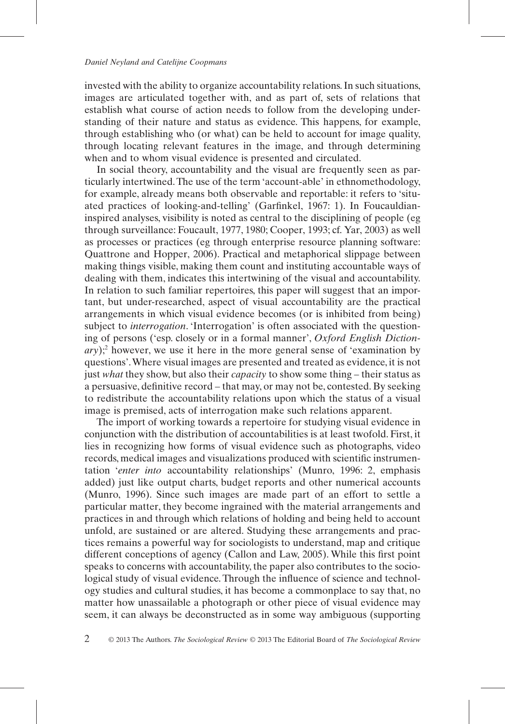invested with the ability to organize accountability relations. In such situations, images are articulated together with, and as part of, sets of relations that establish what course of action needs to follow from the developing understanding of their nature and status as evidence. This happens, for example, through establishing who (or what) can be held to account for image quality, through locating relevant features in the image, and through determining when and to whom visual evidence is presented and circulated.

In social theory, accountability and the visual are frequently seen as particularly intertwined.The use of the term 'account-able' in ethnomethodology, for example, already means both observable and reportable: it refers to 'situated practices of looking-and-telling' (Garfinkel, 1967: 1). In Foucauldianinspired analyses, visibility is noted as central to the disciplining of people (eg through surveillance: Foucault, 1977, 1980; Cooper, 1993; cf. Yar, 2003) as well as processes or practices (eg through enterprise resource planning software: Quattrone and Hopper, 2006). Practical and metaphorical slippage between making things visible, making them count and instituting accountable ways of dealing with them, indicates this intertwining of the visual and accountability. In relation to such familiar repertoires, this paper will suggest that an important, but under-researched, aspect of visual accountability are the practical arrangements in which visual evidence becomes (or is inhibited from being) subject to *interrogation*. 'Interrogation' is often associated with the questioning of persons ('esp. closely or in a formal manner', *Oxford English Diction* $ary$ ;<sup>2</sup> however, we use it here in the more general sense of 'examination by questions'.Where visual images are presented and treated as evidence, it is not just *what* they show, but also their *capacity* to show some thing – their status as a persuasive, definitive record – that may, or may not be, contested. By seeking to redistribute the accountability relations upon which the status of a visual image is premised, acts of interrogation make such relations apparent.

The import of working towards a repertoire for studying visual evidence in conjunction with the distribution of accountabilities is at least twofold. First, it lies in recognizing how forms of visual evidence such as photographs, video records, medical images and visualizations produced with scientific instrumentation '*enter into* accountability relationships' (Munro, 1996: 2, emphasis added) just like output charts, budget reports and other numerical accounts (Munro, 1996). Since such images are made part of an effort to settle a particular matter, they become ingrained with the material arrangements and practices in and through which relations of holding and being held to account unfold, are sustained or are altered. Studying these arrangements and practices remains a powerful way for sociologists to understand, map and critique different conceptions of agency (Callon and Law, 2005). While this first point speaks to concerns with accountability, the paper also contributes to the sociological study of visual evidence. Through the influence of science and technology studies and cultural studies, it has become a commonplace to say that, no matter how unassailable a photograph or other piece of visual evidence may seem, it can always be deconstructed as in some way ambiguous (supporting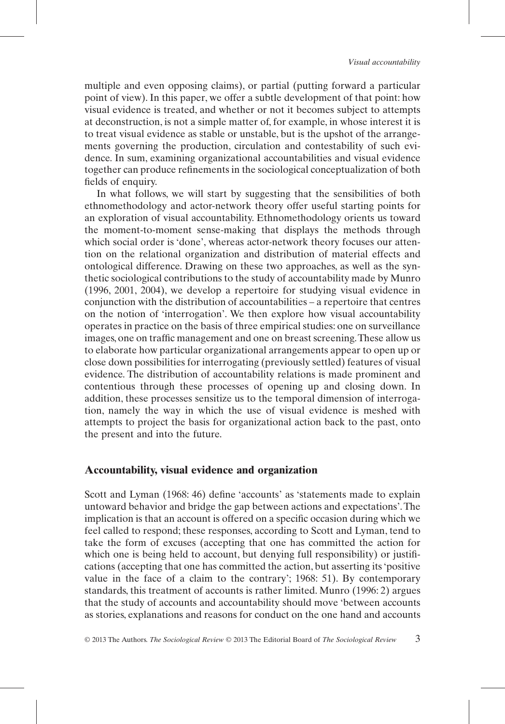multiple and even opposing claims), or partial (putting forward a particular point of view). In this paper, we offer a subtle development of that point: how visual evidence is treated, and whether or not it becomes subject to attempts at deconstruction, is not a simple matter of, for example, in whose interest it is to treat visual evidence as stable or unstable, but is the upshot of the arrangements governing the production, circulation and contestability of such evidence. In sum, examining organizational accountabilities and visual evidence together can produce refinements in the sociological conceptualization of both fields of enquiry.

In what follows, we will start by suggesting that the sensibilities of both ethnomethodology and actor-network theory offer useful starting points for an exploration of visual accountability. Ethnomethodology orients us toward the moment-to-moment sense-making that displays the methods through which social order is 'done', whereas actor-network theory focuses our attention on the relational organization and distribution of material effects and ontological difference. Drawing on these two approaches, as well as the synthetic sociological contributions to the study of accountability made by Munro (1996, 2001, 2004), we develop a repertoire for studying visual evidence in conjunction with the distribution of accountabilities – a repertoire that centres on the notion of 'interrogation'. We then explore how visual accountability operates in practice on the basis of three empirical studies: one on surveillance images, one on traffic management and one on breast screening.These allow us to elaborate how particular organizational arrangements appear to open up or close down possibilities for interrogating (previously settled) features of visual evidence. The distribution of accountability relations is made prominent and contentious through these processes of opening up and closing down. In addition, these processes sensitize us to the temporal dimension of interrogation, namely the way in which the use of visual evidence is meshed with attempts to project the basis for organizational action back to the past, onto the present and into the future.

# **Accountability, visual evidence and organization**

Scott and Lyman (1968: 46) define 'accounts' as 'statements made to explain untoward behavior and bridge the gap between actions and expectations'.The implication is that an account is offered on a specific occasion during which we feel called to respond; these responses, according to Scott and Lyman, tend to take the form of excuses (accepting that one has committed the action for which one is being held to account, but denying full responsibility) or justifications (accepting that one has committed the action, but asserting its 'positive value in the face of a claim to the contrary'; 1968: 51). By contemporary standards, this treatment of accounts is rather limited. Munro (1996: 2) argues that the study of accounts and accountability should move 'between accounts as stories, explanations and reasons for conduct on the one hand and accounts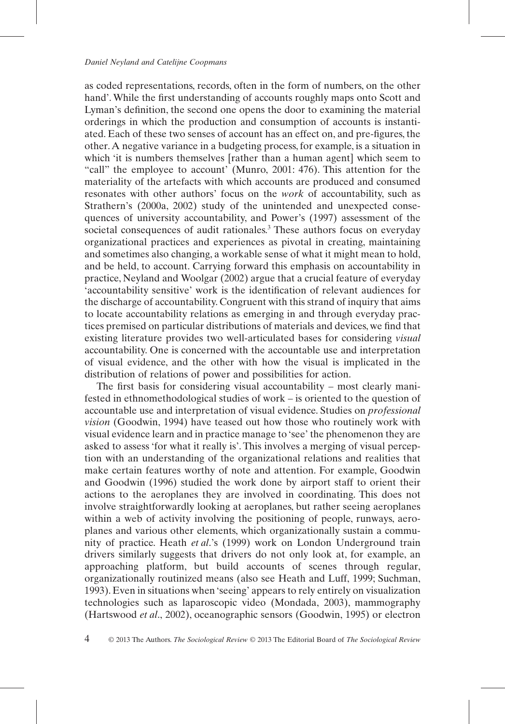as coded representations, records, often in the form of numbers, on the other hand'. While the first understanding of accounts roughly maps onto Scott and Lyman's definition, the second one opens the door to examining the material orderings in which the production and consumption of accounts is instantiated. Each of these two senses of account has an effect on, and pre-figures, the other.A negative variance in a budgeting process, for example, is a situation in which 'it is numbers themselves [rather than a human agent] which seem to "call" the employee to account' (Munro, 2001: 476). This attention for the materiality of the artefacts with which accounts are produced and consumed resonates with other authors' focus on the *work* of accountability, such as Strathern's (2000a, 2002) study of the unintended and unexpected consequences of university accountability, and Power's (1997) assessment of the societal consequences of audit rationales.<sup>3</sup> These authors focus on everyday organizational practices and experiences as pivotal in creating, maintaining and sometimes also changing, a workable sense of what it might mean to hold, and be held, to account. Carrying forward this emphasis on accountability in practice, Neyland and Woolgar (2002) argue that a crucial feature of everyday 'accountability sensitive' work is the identification of relevant audiences for the discharge of accountability. Congruent with this strand of inquiry that aims to locate accountability relations as emerging in and through everyday practices premised on particular distributions of materials and devices, we find that existing literature provides two well-articulated bases for considering *visual* accountability. One is concerned with the accountable use and interpretation of visual evidence, and the other with how the visual is implicated in the distribution of relations of power and possibilities for action.

The first basis for considering visual accountability – most clearly manifested in ethnomethodological studies of work – is oriented to the question of accountable use and interpretation of visual evidence. Studies on *professional vision* (Goodwin, 1994) have teased out how those who routinely work with visual evidence learn and in practice manage to 'see' the phenomenon they are asked to assess 'for what it really is'. This involves a merging of visual perception with an understanding of the organizational relations and realities that make certain features worthy of note and attention. For example, Goodwin and Goodwin (1996) studied the work done by airport staff to orient their actions to the aeroplanes they are involved in coordinating. This does not involve straightforwardly looking at aeroplanes, but rather seeing aeroplanes within a web of activity involving the positioning of people, runways, aeroplanes and various other elements, which organizationally sustain a community of practice. Heath *et al*.'s (1999) work on London Underground train drivers similarly suggests that drivers do not only look at, for example, an approaching platform, but build accounts of scenes through regular, organizationally routinized means (also see Heath and Luff, 1999; Suchman, 1993). Even in situations when 'seeing' appears to rely entirely on visualization technologies such as laparoscopic video (Mondada, 2003), mammography (Hartswood *et al*., 2002), oceanographic sensors (Goodwin, 1995) or electron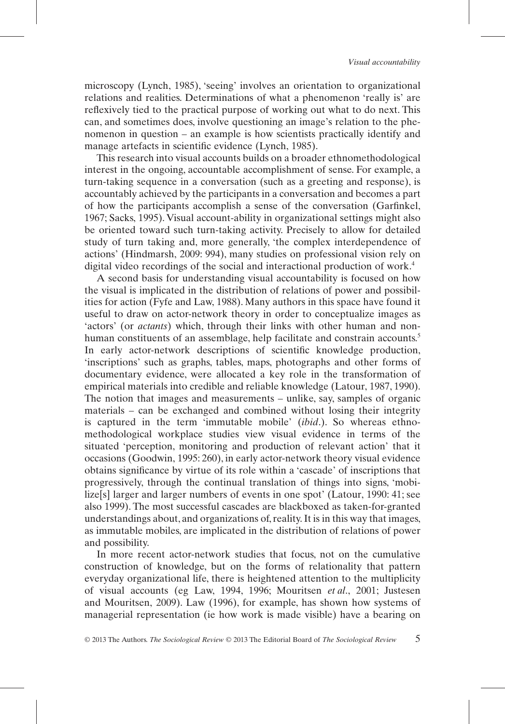microscopy (Lynch, 1985), 'seeing' involves an orientation to organizational relations and realities. Determinations of what a phenomenon 'really is' are reflexively tied to the practical purpose of working out what to do next. This can, and sometimes does, involve questioning an image's relation to the phenomenon in question – an example is how scientists practically identify and manage artefacts in scientific evidence (Lynch, 1985).

This research into visual accounts builds on a broader ethnomethodological interest in the ongoing, accountable accomplishment of sense. For example, a turn-taking sequence in a conversation (such as a greeting and response), is accountably achieved by the participants in a conversation and becomes a part of how the participants accomplish a sense of the conversation (Garfinkel, 1967; Sacks, 1995). Visual account-ability in organizational settings might also be oriented toward such turn-taking activity. Precisely to allow for detailed study of turn taking and, more generally, 'the complex interdependence of actions' (Hindmarsh, 2009: 994), many studies on professional vision rely on digital video recordings of the social and interactional production of work.4

A second basis for understanding visual accountability is focused on how the visual is implicated in the distribution of relations of power and possibilities for action (Fyfe and Law, 1988). Many authors in this space have found it useful to draw on actor-network theory in order to conceptualize images as 'actors' (or *actants*) which, through their links with other human and nonhuman constituents of an assemblage, help facilitate and constrain accounts.<sup>5</sup> In early actor-network descriptions of scientific knowledge production, 'inscriptions' such as graphs, tables, maps, photographs and other forms of documentary evidence, were allocated a key role in the transformation of empirical materials into credible and reliable knowledge (Latour, 1987, 1990). The notion that images and measurements – unlike, say, samples of organic materials – can be exchanged and combined without losing their integrity is captured in the term 'immutable mobile' (*ibid*.). So whereas ethnomethodological workplace studies view visual evidence in terms of the situated 'perception, monitoring and production of relevant action' that it occasions (Goodwin, 1995: 260), in early actor-network theory visual evidence obtains significance by virtue of its role within a 'cascade' of inscriptions that progressively, through the continual translation of things into signs, 'mobilize[s] larger and larger numbers of events in one spot' (Latour, 1990: 41; see also 1999). The most successful cascades are blackboxed as taken-for-granted understandings about, and organizations of, reality. It is in this way that images, as immutable mobiles, are implicated in the distribution of relations of power and possibility.

In more recent actor-network studies that focus, not on the cumulative construction of knowledge, but on the forms of relationality that pattern everyday organizational life, there is heightened attention to the multiplicity of visual accounts (eg Law, 1994, 1996; Mouritsen *et al*., 2001; Justesen and Mouritsen, 2009). Law (1996), for example, has shown how systems of managerial representation (ie how work is made visible) have a bearing on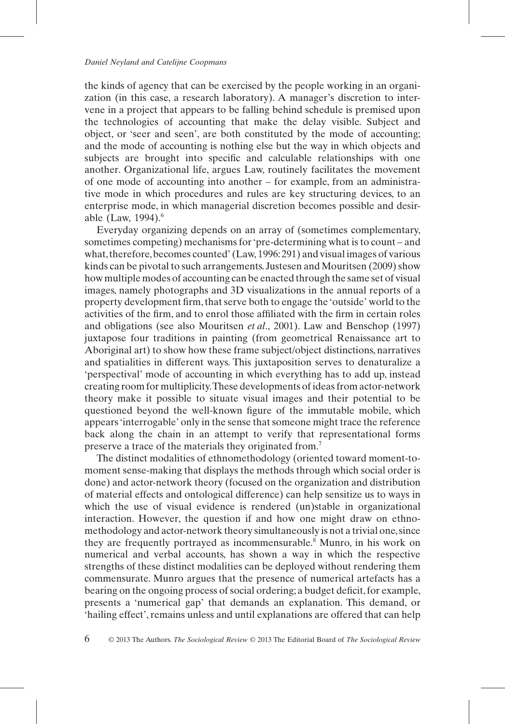the kinds of agency that can be exercised by the people working in an organization (in this case, a research laboratory). A manager's discretion to intervene in a project that appears to be falling behind schedule is premised upon the technologies of accounting that make the delay visible. Subject and object, or 'seer and seen', are both constituted by the mode of accounting; and the mode of accounting is nothing else but the way in which objects and subjects are brought into specific and calculable relationships with one another. Organizational life, argues Law, routinely facilitates the movement of one mode of accounting into another – for example, from an administrative mode in which procedures and rules are key structuring devices, to an enterprise mode, in which managerial discretion becomes possible and desirable (Law, 1994).<sup>6</sup>

Everyday organizing depends on an array of (sometimes complementary, sometimes competing) mechanisms for 'pre-determining what is to count – and what, therefore, becomes counted' (Law, 1996: 291) and visual images of various kinds can be pivotal to such arrangements. Justesen and Mouritsen (2009) show how multiple modes of accounting can be enacted through the same set of visual images, namely photographs and 3D visualizations in the annual reports of a property development firm, that serve both to engage the 'outside' world to the activities of the firm, and to enrol those affiliated with the firm in certain roles and obligations (see also Mouritsen *et al*., 2001). Law and Benschop (1997) juxtapose four traditions in painting (from geometrical Renaissance art to Aboriginal art) to show how these frame subject/object distinctions, narratives and spatialities in different ways. This juxtaposition serves to denaturalize a 'perspectival' mode of accounting in which everything has to add up, instead creating room for multiplicity.These developments of ideas from actor-network theory make it possible to situate visual images and their potential to be questioned beyond the well-known figure of the immutable mobile, which appears 'interrogable' only in the sense that someone might trace the reference back along the chain in an attempt to verify that representational forms preserve a trace of the materials they originated from.7

The distinct modalities of ethnomethodology (oriented toward moment-tomoment sense-making that displays the methods through which social order is done) and actor-network theory (focused on the organization and distribution of material effects and ontological difference) can help sensitize us to ways in which the use of visual evidence is rendered (un)stable in organizational interaction. However, the question if and how one might draw on ethnomethodology and actor-network theory simultaneously is not a trivial one,since they are frequently portrayed as incommensurable.<sup>8</sup> Munro, in his work on numerical and verbal accounts, has shown a way in which the respective strengths of these distinct modalities can be deployed without rendering them commensurate. Munro argues that the presence of numerical artefacts has a bearing on the ongoing process of social ordering; a budget deficit, for example, presents a 'numerical gap' that demands an explanation. This demand, or 'hailing effect', remains unless and until explanations are offered that can help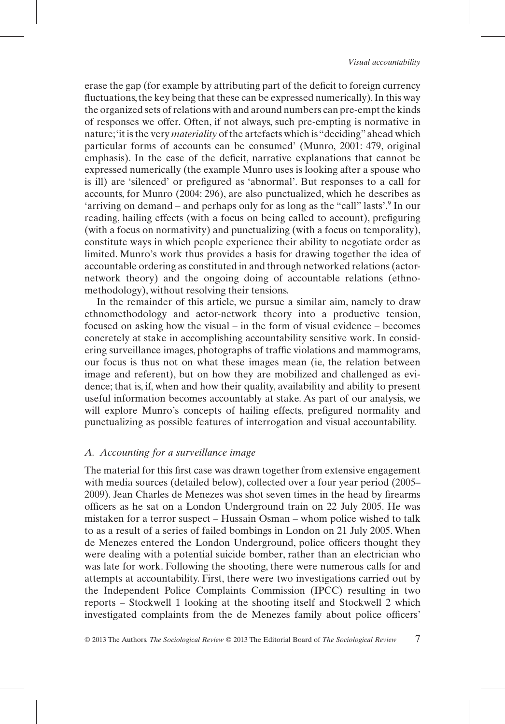erase the gap (for example by attributing part of the deficit to foreign currency fluctuations, the key being that these can be expressed numerically). In this way the organized sets of relations with and around numbers can pre-empt the kinds of responses we offer. Often, if not always, such pre-empting is normative in nature;'it is the very *materiality* of the artefacts which is"deciding"ahead which particular forms of accounts can be consumed' (Munro, 2001: 479, original emphasis). In the case of the deficit, narrative explanations that cannot be expressed numerically (the example Munro uses is looking after a spouse who is ill) are 'silenced' or prefigured as 'abnormal'. But responses to a call for accounts, for Munro (2004: 296), are also punctualized, which he describes as 'arriving on demand – and perhaps only for as long as the "call" lasts'.9 In our reading, hailing effects (with a focus on being called to account), prefiguring (with a focus on normativity) and punctualizing (with a focus on temporality), constitute ways in which people experience their ability to negotiate order as limited. Munro's work thus provides a basis for drawing together the idea of accountable ordering as constituted in and through networked relations (actornetwork theory) and the ongoing doing of accountable relations (ethnomethodology), without resolving their tensions.

In the remainder of this article, we pursue a similar aim, namely to draw ethnomethodology and actor-network theory into a productive tension, focused on asking how the visual – in the form of visual evidence – becomes concretely at stake in accomplishing accountability sensitive work. In considering surveillance images, photographs of traffic violations and mammograms, our focus is thus not on what these images mean (ie, the relation between image and referent), but on how they are mobilized and challenged as evidence; that is, if, when and how their quality, availability and ability to present useful information becomes accountably at stake. As part of our analysis, we will explore Munro's concepts of hailing effects, prefigured normality and punctualizing as possible features of interrogation and visual accountability.

## *A. Accounting for a surveillance image*

The material for this first case was drawn together from extensive engagement with media sources (detailed below), collected over a four year period (2005– 2009). Jean Charles de Menezes was shot seven times in the head by firearms officers as he sat on a London Underground train on 22 July 2005. He was mistaken for a terror suspect – Hussain Osman – whom police wished to talk to as a result of a series of failed bombings in London on 21 July 2005. When de Menezes entered the London Underground, police officers thought they were dealing with a potential suicide bomber, rather than an electrician who was late for work. Following the shooting, there were numerous calls for and attempts at accountability. First, there were two investigations carried out by the Independent Police Complaints Commission (IPCC) resulting in two reports – Stockwell 1 looking at the shooting itself and Stockwell 2 which investigated complaints from the de Menezes family about police officers'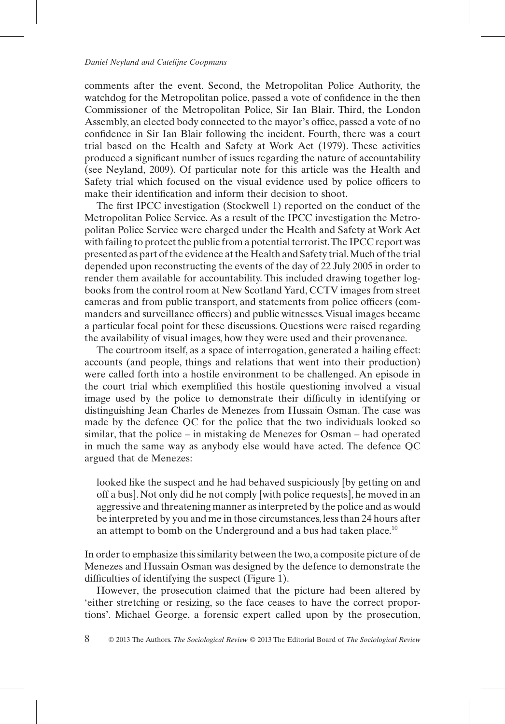comments after the event. Second, the Metropolitan Police Authority, the watchdog for the Metropolitan police, passed a vote of confidence in the then Commissioner of the Metropolitan Police, Sir Ian Blair. Third, the London Assembly, an elected body connected to the mayor's office, passed a vote of no confidence in Sir Ian Blair following the incident. Fourth, there was a court trial based on the Health and Safety at Work Act (1979). These activities produced a significant number of issues regarding the nature of accountability (see Neyland, 2009). Of particular note for this article was the Health and Safety trial which focused on the visual evidence used by police officers to make their identification and inform their decision to shoot.

The first IPCC investigation (Stockwell 1) reported on the conduct of the Metropolitan Police Service. As a result of the IPCC investigation the Metropolitan Police Service were charged under the Health and Safety at Work Act with failing to protect the public from a potential terrorist.The IPCC report was presented as part of the evidence at the Health and Safety trial.Much of the trial depended upon reconstructing the events of the day of 22 July 2005 in order to render them available for accountability. This included drawing together logbooks from the control room at New Scotland Yard, CCTV images from street cameras and from public transport, and statements from police officers (commanders and surveillance officers) and public witnesses.Visual images became a particular focal point for these discussions. Questions were raised regarding the availability of visual images, how they were used and their provenance.

The courtroom itself, as a space of interrogation, generated a hailing effect: accounts (and people, things and relations that went into their production) were called forth into a hostile environment to be challenged. An episode in the court trial which exemplified this hostile questioning involved a visual image used by the police to demonstrate their difficulty in identifying or distinguishing Jean Charles de Menezes from Hussain Osman. The case was made by the defence QC for the police that the two individuals looked so similar, that the police – in mistaking de Menezes for Osman – had operated in much the same way as anybody else would have acted. The defence QC argued that de Menezes:

looked like the suspect and he had behaved suspiciously [by getting on and off a bus]. Not only did he not comply [with police requests], he moved in an aggressive and threatening manner as interpreted by the police and as would be interpreted by you and me in those circumstances, less than 24 hours after an attempt to bomb on the Underground and a bus had taken place.<sup>10</sup>

In order to emphasize this similarity between the two, a composite picture of de Menezes and Hussain Osman was designed by the defence to demonstrate the difficulties of identifying the suspect (Figure 1).

However, the prosecution claimed that the picture had been altered by 'either stretching or resizing, so the face ceases to have the correct proportions'. Michael George, a forensic expert called upon by the prosecution,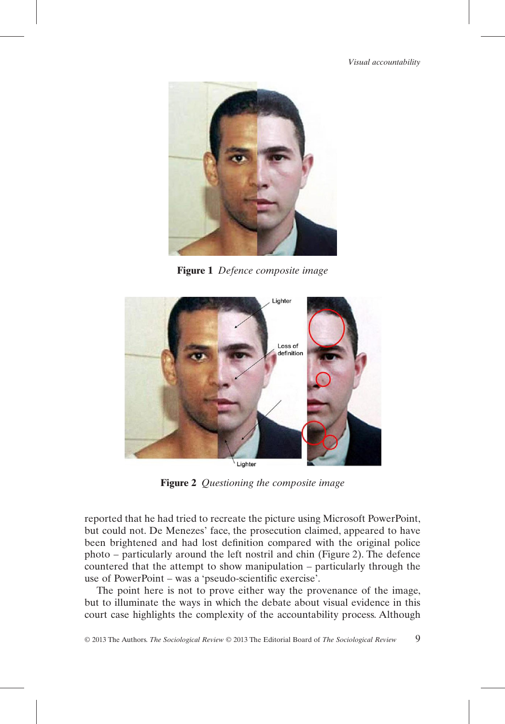*Visual accountability*



**Figure 1** *Defence composite image*



Lighter

**Figure 2** *Questioning the composite image*

reported that he had tried to recreate the picture using Microsoft PowerPoint, but could not. De Menezes' face, the prosecution claimed, appeared to have been brightened and had lost definition compared with the original police photo – particularly around the left nostril and chin (Figure 2). The defence countered that the attempt to show manipulation – particularly through the use of PowerPoint – was a 'pseudo-scientific exercise'.

The point here is not to prove either way the provenance of the image, but to illuminate the ways in which the debate about visual evidence in this court case highlights the complexity of the accountability process. Although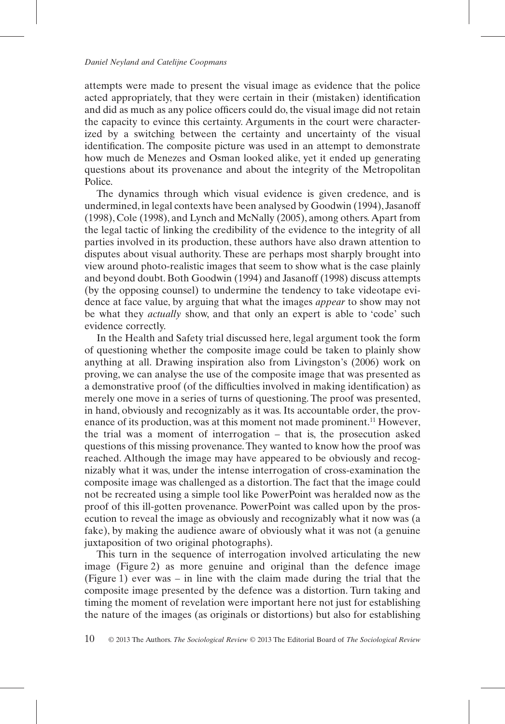attempts were made to present the visual image as evidence that the police acted appropriately, that they were certain in their (mistaken) identification and did as much as any police officers could do, the visual image did not retain the capacity to evince this certainty. Arguments in the court were characterized by a switching between the certainty and uncertainty of the visual identification. The composite picture was used in an attempt to demonstrate how much de Menezes and Osman looked alike, yet it ended up generating questions about its provenance and about the integrity of the Metropolitan Police.

The dynamics through which visual evidence is given credence, and is undermined, in legal contexts have been analysed by Goodwin (1994), Jasanoff (1998), Cole (1998), and Lynch and McNally (2005), among others.Apart from the legal tactic of linking the credibility of the evidence to the integrity of all parties involved in its production, these authors have also drawn attention to disputes about visual authority. These are perhaps most sharply brought into view around photo-realistic images that seem to show what is the case plainly and beyond doubt. Both Goodwin (1994) and Jasanoff (1998) discuss attempts (by the opposing counsel) to undermine the tendency to take videotape evidence at face value, by arguing that what the images *appear* to show may not be what they *actually* show, and that only an expert is able to 'code' such evidence correctly.

In the Health and Safety trial discussed here, legal argument took the form of questioning whether the composite image could be taken to plainly show anything at all. Drawing inspiration also from Livingston's (2006) work on proving, we can analyse the use of the composite image that was presented as a demonstrative proof (of the difficulties involved in making identification) as merely one move in a series of turns of questioning. The proof was presented, in hand, obviously and recognizably as it was. Its accountable order, the provenance of its production, was at this moment not made prominent.<sup>11</sup> However, the trial was a moment of interrogation – that is, the prosecution asked questions of this missing provenance.They wanted to know how the proof was reached. Although the image may have appeared to be obviously and recognizably what it was, under the intense interrogation of cross-examination the composite image was challenged as a distortion. The fact that the image could not be recreated using a simple tool like PowerPoint was heralded now as the proof of this ill-gotten provenance. PowerPoint was called upon by the prosecution to reveal the image as obviously and recognizably what it now was (a fake), by making the audience aware of obviously what it was not (a genuine juxtaposition of two original photographs).

This turn in the sequence of interrogation involved articulating the new image (Figure 2) as more genuine and original than the defence image (Figure 1) ever was – in line with the claim made during the trial that the composite image presented by the defence was a distortion. Turn taking and timing the moment of revelation were important here not just for establishing the nature of the images (as originals or distortions) but also for establishing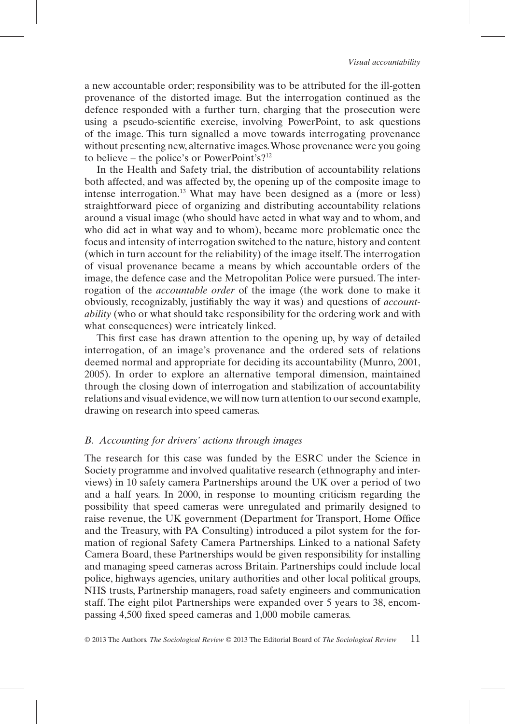a new accountable order; responsibility was to be attributed for the ill-gotten provenance of the distorted image. But the interrogation continued as the defence responded with a further turn, charging that the prosecution were using a pseudo-scientific exercise, involving PowerPoint, to ask questions of the image. This turn signalled a move towards interrogating provenance without presenting new, alternative images.Whose provenance were you going to believe – the police's or PowerPoint's? $12$ 

In the Health and Safety trial, the distribution of accountability relations both affected, and was affected by, the opening up of the composite image to intense interrogation.<sup>13</sup> What may have been designed as a (more or less) straightforward piece of organizing and distributing accountability relations around a visual image (who should have acted in what way and to whom, and who did act in what way and to whom), became more problematic once the focus and intensity of interrogation switched to the nature, history and content (which in turn account for the reliability) of the image itself.The interrogation of visual provenance became a means by which accountable orders of the image, the defence case and the Metropolitan Police were pursued. The interrogation of the *accountable order* of the image (the work done to make it obviously, recognizably, justifiably the way it was) and questions of *accountability* (who or what should take responsibility for the ordering work and with what consequences) were intricately linked.

This first case has drawn attention to the opening up, by way of detailed interrogation, of an image's provenance and the ordered sets of relations deemed normal and appropriate for deciding its accountability (Munro, 2001, 2005). In order to explore an alternative temporal dimension, maintained through the closing down of interrogation and stabilization of accountability relations and visual evidence,we will now turn attention to our second example, drawing on research into speed cameras.

## *B. Accounting for drivers' actions through images*

The research for this case was funded by the ESRC under the Science in Society programme and involved qualitative research (ethnography and interviews) in 10 safety camera Partnerships around the UK over a period of two and a half years. In 2000, in response to mounting criticism regarding the possibility that speed cameras were unregulated and primarily designed to raise revenue, the UK government (Department for Transport, Home Office and the Treasury, with PA Consulting) introduced a pilot system for the formation of regional Safety Camera Partnerships. Linked to a national Safety Camera Board, these Partnerships would be given responsibility for installing and managing speed cameras across Britain. Partnerships could include local police, highways agencies, unitary authorities and other local political groups, NHS trusts, Partnership managers, road safety engineers and communication staff. The eight pilot Partnerships were expanded over 5 years to 38, encompassing 4,500 fixed speed cameras and 1,000 mobile cameras.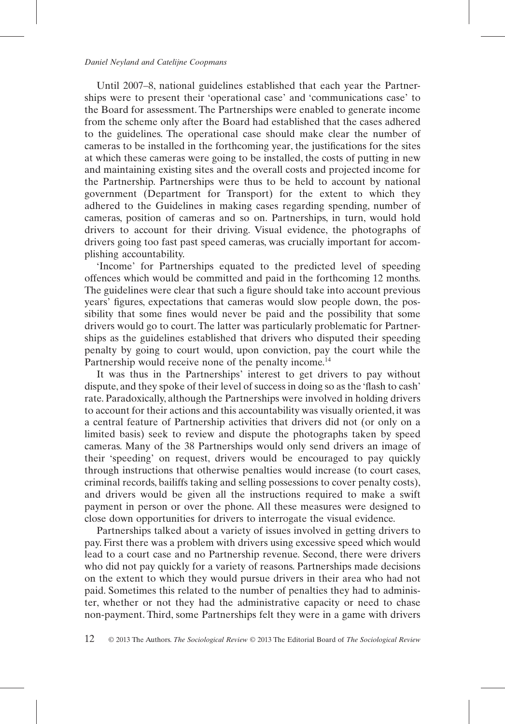Until 2007–8, national guidelines established that each year the Partnerships were to present their 'operational case' and 'communications case' to the Board for assessment. The Partnerships were enabled to generate income from the scheme only after the Board had established that the cases adhered to the guidelines. The operational case should make clear the number of cameras to be installed in the forthcoming year, the justifications for the sites at which these cameras were going to be installed, the costs of putting in new and maintaining existing sites and the overall costs and projected income for the Partnership. Partnerships were thus to be held to account by national government (Department for Transport) for the extent to which they adhered to the Guidelines in making cases regarding spending, number of cameras, position of cameras and so on. Partnerships, in turn, would hold drivers to account for their driving. Visual evidence, the photographs of drivers going too fast past speed cameras, was crucially important for accomplishing accountability.

'Income' for Partnerships equated to the predicted level of speeding offences which would be committed and paid in the forthcoming 12 months. The guidelines were clear that such a figure should take into account previous years' figures, expectations that cameras would slow people down, the possibility that some fines would never be paid and the possibility that some drivers would go to court. The latter was particularly problematic for Partnerships as the guidelines established that drivers who disputed their speeding penalty by going to court would, upon conviction, pay the court while the Partnership would receive none of the penalty income.<sup>14</sup>

It was thus in the Partnerships' interest to get drivers to pay without dispute, and they spoke of their level of success in doing so as the 'flash to cash' rate. Paradoxically, although the Partnerships were involved in holding drivers to account for their actions and this accountability was visually oriented, it was a central feature of Partnership activities that drivers did not (or only on a limited basis) seek to review and dispute the photographs taken by speed cameras. Many of the 38 Partnerships would only send drivers an image of their 'speeding' on request, drivers would be encouraged to pay quickly through instructions that otherwise penalties would increase (to court cases, criminal records, bailiffs taking and selling possessions to cover penalty costs), and drivers would be given all the instructions required to make a swift payment in person or over the phone. All these measures were designed to close down opportunities for drivers to interrogate the visual evidence.

Partnerships talked about a variety of issues involved in getting drivers to pay. First there was a problem with drivers using excessive speed which would lead to a court case and no Partnership revenue. Second, there were drivers who did not pay quickly for a variety of reasons. Partnerships made decisions on the extent to which they would pursue drivers in their area who had not paid. Sometimes this related to the number of penalties they had to administer, whether or not they had the administrative capacity or need to chase non-payment. Third, some Partnerships felt they were in a game with drivers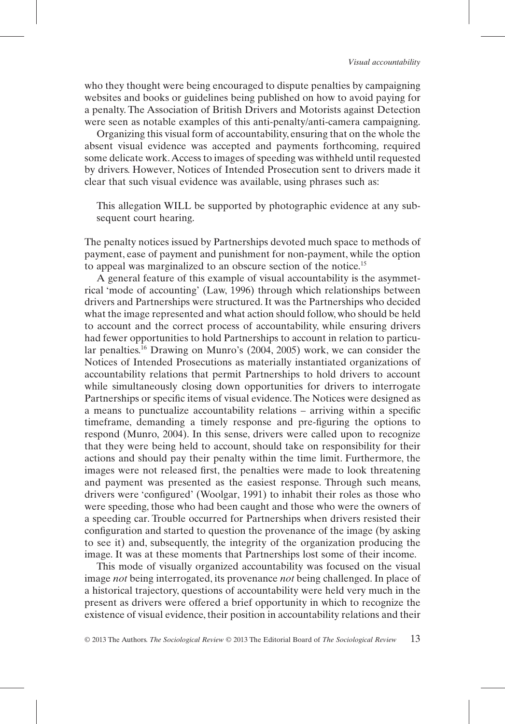who they thought were being encouraged to dispute penalties by campaigning websites and books or guidelines being published on how to avoid paying for a penalty. The Association of British Drivers and Motorists against Detection were seen as notable examples of this anti-penalty/anti-camera campaigning.

Organizing this visual form of accountability, ensuring that on the whole the absent visual evidence was accepted and payments forthcoming, required some delicate work.Access to images of speeding was withheld until requested by drivers. However, Notices of Intended Prosecution sent to drivers made it clear that such visual evidence was available, using phrases such as:

This allegation WILL be supported by photographic evidence at any subsequent court hearing.

The penalty notices issued by Partnerships devoted much space to methods of payment, ease of payment and punishment for non-payment, while the option to appeal was marginalized to an obscure section of the notice.15

A general feature of this example of visual accountability is the asymmetrical 'mode of accounting' (Law, 1996) through which relationships between drivers and Partnerships were structured. It was the Partnerships who decided what the image represented and what action should follow, who should be held to account and the correct process of accountability, while ensuring drivers had fewer opportunities to hold Partnerships to account in relation to particular penalties.16 Drawing on Munro's (2004, 2005) work, we can consider the Notices of Intended Prosecutions as materially instantiated organizations of accountability relations that permit Partnerships to hold drivers to account while simultaneously closing down opportunities for drivers to interrogate Partnerships or specific items of visual evidence.The Notices were designed as a means to punctualize accountability relations – arriving within a specific timeframe, demanding a timely response and pre-figuring the options to respond (Munro, 2004). In this sense, drivers were called upon to recognize that they were being held to account, should take on responsibility for their actions and should pay their penalty within the time limit. Furthermore, the images were not released first, the penalties were made to look threatening and payment was presented as the easiest response. Through such means, drivers were 'configured' (Woolgar, 1991) to inhabit their roles as those who were speeding, those who had been caught and those who were the owners of a speeding car. Trouble occurred for Partnerships when drivers resisted their configuration and started to question the provenance of the image (by asking to see it) and, subsequently, the integrity of the organization producing the image. It was at these moments that Partnerships lost some of their income.

This mode of visually organized accountability was focused on the visual image *not* being interrogated, its provenance *not* being challenged. In place of a historical trajectory, questions of accountability were held very much in the present as drivers were offered a brief opportunity in which to recognize the existence of visual evidence, their position in accountability relations and their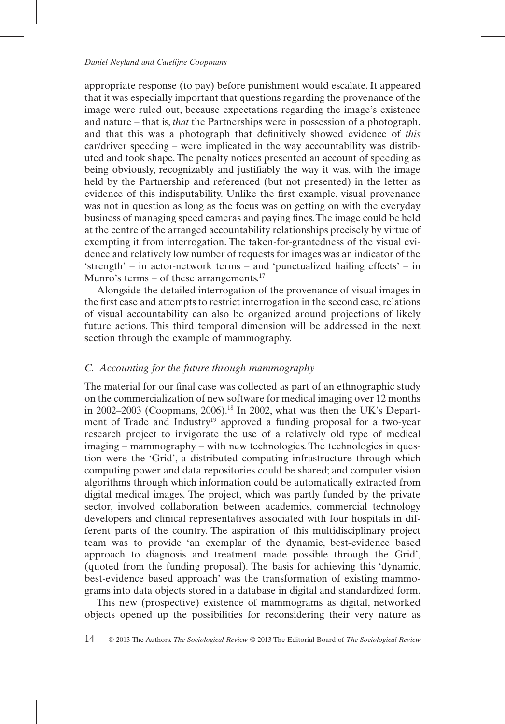appropriate response (to pay) before punishment would escalate. It appeared that it was especially important that questions regarding the provenance of the image were ruled out, because expectations regarding the image's existence and nature – that is, *that* the Partnerships were in possession of a photograph, and that this was a photograph that definitively showed evidence of *this* car/driver speeding – were implicated in the way accountability was distributed and took shape. The penalty notices presented an account of speeding as being obviously, recognizably and justifiably the way it was, with the image held by the Partnership and referenced (but not presented) in the letter as evidence of this indisputability. Unlike the first example, visual provenance was not in question as long as the focus was on getting on with the everyday business of managing speed cameras and paying fines.The image could be held at the centre of the arranged accountability relationships precisely by virtue of exempting it from interrogation. The taken-for-grantedness of the visual evidence and relatively low number of requests for images was an indicator of the 'strength' – in actor-network terms – and 'punctualized hailing effects' – in Munro's terms – of these arrangements. $17$ 

Alongside the detailed interrogation of the provenance of visual images in the first case and attempts to restrict interrogation in the second case, relations of visual accountability can also be organized around projections of likely future actions. This third temporal dimension will be addressed in the next section through the example of mammography.

## *C. Accounting for the future through mammography*

The material for our final case was collected as part of an ethnographic study on the commercialization of new software for medical imaging over 12 months in 2002–2003 (Coopmans, 2006).<sup>18</sup> In 2002, what was then the UK's Department of Trade and Industry<sup>19</sup> approved a funding proposal for a two-year research project to invigorate the use of a relatively old type of medical imaging – mammography – with new technologies. The technologies in question were the 'Grid', a distributed computing infrastructure through which computing power and data repositories could be shared; and computer vision algorithms through which information could be automatically extracted from digital medical images. The project, which was partly funded by the private sector, involved collaboration between academics, commercial technology developers and clinical representatives associated with four hospitals in different parts of the country. The aspiration of this multidisciplinary project team was to provide 'an exemplar of the dynamic, best-evidence based approach to diagnosis and treatment made possible through the Grid', (quoted from the funding proposal). The basis for achieving this 'dynamic, best-evidence based approach' was the transformation of existing mammograms into data objects stored in a database in digital and standardized form.

This new (prospective) existence of mammograms as digital, networked objects opened up the possibilities for reconsidering their very nature as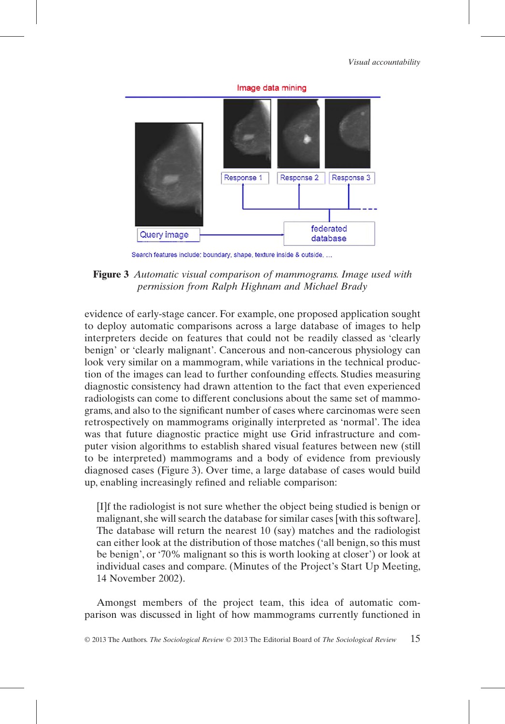*Visual accountability*



Search features include: boundary, shape, texture inside & outside, ...

**Figure 3** *Automatic visual comparison of mammograms. Image used with permission from Ralph Highnam and Michael Brady*

evidence of early-stage cancer. For example, one proposed application sought to deploy automatic comparisons across a large database of images to help interpreters decide on features that could not be readily classed as 'clearly benign' or 'clearly malignant'. Cancerous and non-cancerous physiology can look very similar on a mammogram, while variations in the technical production of the images can lead to further confounding effects. Studies measuring diagnostic consistency had drawn attention to the fact that even experienced radiologists can come to different conclusions about the same set of mammograms, and also to the significant number of cases where carcinomas were seen retrospectively on mammograms originally interpreted as 'normal'. The idea was that future diagnostic practice might use Grid infrastructure and computer vision algorithms to establish shared visual features between new (still to be interpreted) mammograms and a body of evidence from previously diagnosed cases (Figure 3). Over time, a large database of cases would build up, enabling increasingly refined and reliable comparison:

[I]f the radiologist is not sure whether the object being studied is benign or malignant, she will search the database for similar cases [with this software]. The database will return the nearest 10 (say) matches and the radiologist can either look at the distribution of those matches ('all benign, so this must be benign', or '70% malignant so this is worth looking at closer') or look at individual cases and compare. (Minutes of the Project's Start Up Meeting, 14 November 2002).

Amongst members of the project team, this idea of automatic comparison was discussed in light of how mammograms currently functioned in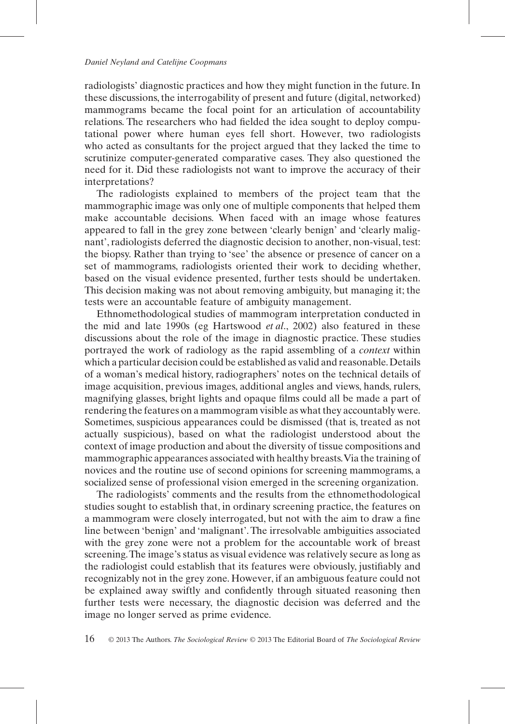radiologists' diagnostic practices and how they might function in the future. In these discussions, the interrogability of present and future (digital, networked) mammograms became the focal point for an articulation of accountability relations. The researchers who had fielded the idea sought to deploy computational power where human eyes fell short. However, two radiologists who acted as consultants for the project argued that they lacked the time to scrutinize computer-generated comparative cases. They also questioned the need for it. Did these radiologists not want to improve the accuracy of their interpretations?

The radiologists explained to members of the project team that the mammographic image was only one of multiple components that helped them make accountable decisions. When faced with an image whose features appeared to fall in the grey zone between 'clearly benign' and 'clearly malignant', radiologists deferred the diagnostic decision to another, non-visual, test: the biopsy. Rather than trying to 'see' the absence or presence of cancer on a set of mammograms, radiologists oriented their work to deciding whether, based on the visual evidence presented, further tests should be undertaken. This decision making was not about removing ambiguity, but managing it; the tests were an accountable feature of ambiguity management.

Ethnomethodological studies of mammogram interpretation conducted in the mid and late 1990s (eg Hartswood *et al*., 2002) also featured in these discussions about the role of the image in diagnostic practice. These studies portrayed the work of radiology as the rapid assembling of a *context* within which a particular decision could be established as valid and reasonable.Details of a woman's medical history, radiographers' notes on the technical details of image acquisition, previous images, additional angles and views, hands, rulers, magnifying glasses, bright lights and opaque films could all be made a part of rendering the features on a mammogram visible as what they accountably were. Sometimes, suspicious appearances could be dismissed (that is, treated as not actually suspicious), based on what the radiologist understood about the context of image production and about the diversity of tissue compositions and mammographic appearances associated with healthy breasts.Via the training of novices and the routine use of second opinions for screening mammograms, a socialized sense of professional vision emerged in the screening organization.

The radiologists' comments and the results from the ethnomethodological studies sought to establish that, in ordinary screening practice, the features on a mammogram were closely interrogated, but not with the aim to draw a fine line between 'benign' and 'malignant'. The irresolvable ambiguities associated with the grey zone were not a problem for the accountable work of breast screening.The image's status as visual evidence was relatively secure as long as the radiologist could establish that its features were obviously, justifiably and recognizably not in the grey zone. However, if an ambiguous feature could not be explained away swiftly and confidently through situated reasoning then further tests were necessary, the diagnostic decision was deferred and the image no longer served as prime evidence.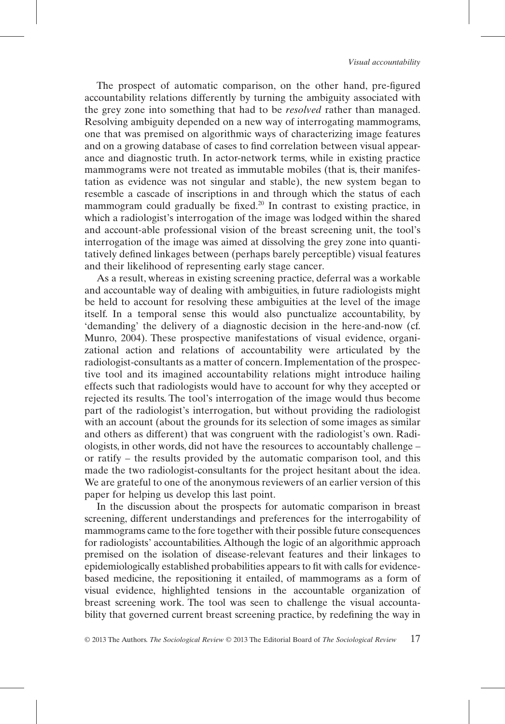The prospect of automatic comparison, on the other hand, pre-figured accountability relations differently by turning the ambiguity associated with the grey zone into something that had to be *resolved* rather than managed. Resolving ambiguity depended on a new way of interrogating mammograms, one that was premised on algorithmic ways of characterizing image features and on a growing database of cases to find correlation between visual appearance and diagnostic truth. In actor-network terms, while in existing practice mammograms were not treated as immutable mobiles (that is, their manifestation as evidence was not singular and stable), the new system began to resemble a cascade of inscriptions in and through which the status of each mammogram could gradually be fixed.<sup>20</sup> In contrast to existing practice, in which a radiologist's interrogation of the image was lodged within the shared and account-able professional vision of the breast screening unit, the tool's interrogation of the image was aimed at dissolving the grey zone into quantitatively defined linkages between (perhaps barely perceptible) visual features and their likelihood of representing early stage cancer.

As a result, whereas in existing screening practice, deferral was a workable and accountable way of dealing with ambiguities, in future radiologists might be held to account for resolving these ambiguities at the level of the image itself. In a temporal sense this would also punctualize accountability, by 'demanding' the delivery of a diagnostic decision in the here-and-now (cf. Munro, 2004). These prospective manifestations of visual evidence, organizational action and relations of accountability were articulated by the radiologist-consultants as a matter of concern. Implementation of the prospective tool and its imagined accountability relations might introduce hailing effects such that radiologists would have to account for why they accepted or rejected its results. The tool's interrogation of the image would thus become part of the radiologist's interrogation, but without providing the radiologist with an account (about the grounds for its selection of some images as similar and others as different) that was congruent with the radiologist's own. Radiologists, in other words, did not have the resources to accountably challenge – or ratify – the results provided by the automatic comparison tool, and this made the two radiologist-consultants for the project hesitant about the idea. We are grateful to one of the anonymous reviewers of an earlier version of this paper for helping us develop this last point.

In the discussion about the prospects for automatic comparison in breast screening, different understandings and preferences for the interrogability of mammograms came to the fore together with their possible future consequences for radiologists' accountabilities. Although the logic of an algorithmic approach premised on the isolation of disease-relevant features and their linkages to epidemiologically established probabilities appears to fit with calls for evidencebased medicine, the repositioning it entailed, of mammograms as a form of visual evidence, highlighted tensions in the accountable organization of breast screening work. The tool was seen to challenge the visual accountability that governed current breast screening practice, by redefining the way in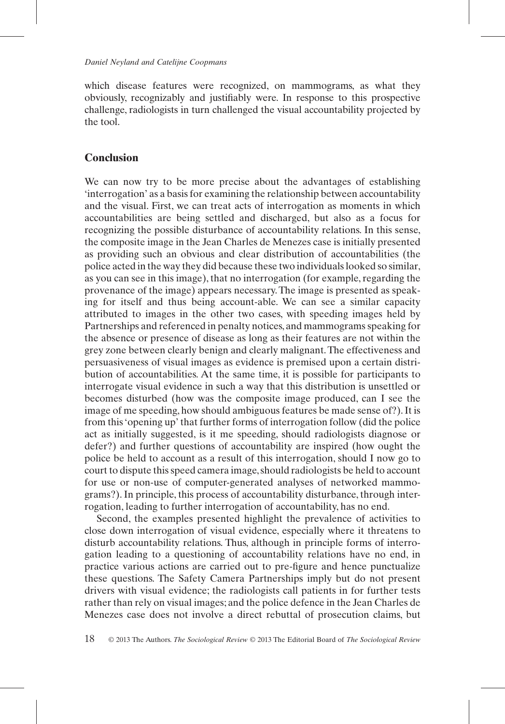which disease features were recognized, on mammograms, as what they obviously, recognizably and justifiably were. In response to this prospective challenge, radiologists in turn challenged the visual accountability projected by the tool.

# **Conclusion**

We can now try to be more precise about the advantages of establishing 'interrogation' as a basis for examining the relationship between accountability and the visual. First, we can treat acts of interrogation as moments in which accountabilities are being settled and discharged, but also as a focus for recognizing the possible disturbance of accountability relations. In this sense, the composite image in the Jean Charles de Menezes case is initially presented as providing such an obvious and clear distribution of accountabilities (the police acted in the way they did because these two individuals looked so similar, as you can see in this image), that no interrogation (for example, regarding the provenance of the image) appears necessary. The image is presented as speaking for itself and thus being account-able. We can see a similar capacity attributed to images in the other two cases, with speeding images held by Partnerships and referenced in penalty notices, and mammograms speaking for the absence or presence of disease as long as their features are not within the grey zone between clearly benign and clearly malignant.The effectiveness and persuasiveness of visual images as evidence is premised upon a certain distribution of accountabilities. At the same time, it is possible for participants to interrogate visual evidence in such a way that this distribution is unsettled or becomes disturbed (how was the composite image produced, can I see the image of me speeding, how should ambiguous features be made sense of?). It is from this 'opening up' that further forms of interrogation follow (did the police act as initially suggested, is it me speeding, should radiologists diagnose or defer?) and further questions of accountability are inspired (how ought the police be held to account as a result of this interrogation, should I now go to court to dispute this speed camera image,should radiologists be held to account for use or non-use of computer-generated analyses of networked mammograms?). In principle, this process of accountability disturbance, through interrogation, leading to further interrogation of accountability, has no end.

Second, the examples presented highlight the prevalence of activities to close down interrogation of visual evidence, especially where it threatens to disturb accountability relations. Thus, although in principle forms of interrogation leading to a questioning of accountability relations have no end, in practice various actions are carried out to pre-figure and hence punctualize these questions. The Safety Camera Partnerships imply but do not present drivers with visual evidence; the radiologists call patients in for further tests rather than rely on visual images; and the police defence in the Jean Charles de Menezes case does not involve a direct rebuttal of prosecution claims, but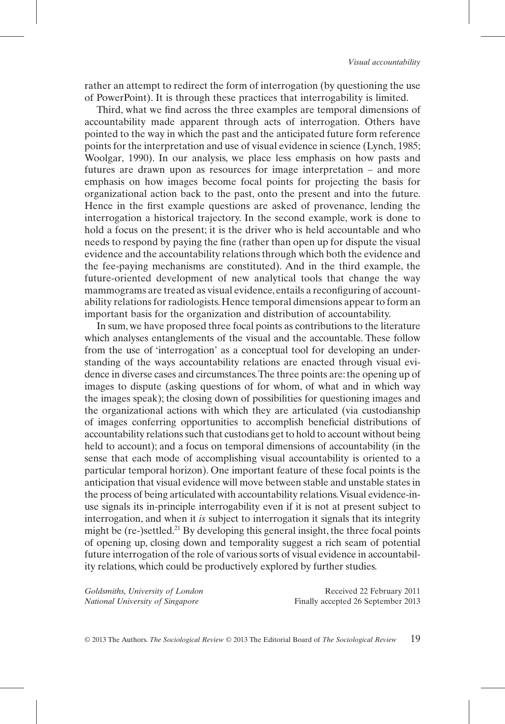rather an attempt to redirect the form of interrogation (by questioning the use of PowerPoint). It is through these practices that interrogability is limited.

Third, what we find across the three examples are temporal dimensions of accountability made apparent through acts of interrogation. Others have pointed to the way in which the past and the anticipated future form reference points for the interpretation and use of visual evidence in science (Lynch, 1985; Woolgar, 1990). In our analysis, we place less emphasis on how pasts and futures are drawn upon as resources for image interpretation – and more emphasis on how images become focal points for projecting the basis for organizational action back to the past, onto the present and into the future. Hence in the first example questions are asked of provenance, lending the interrogation a historical trajectory. In the second example, work is done to hold a focus on the present; it is the driver who is held accountable and who needs to respond by paying the fine (rather than open up for dispute the visual evidence and the accountability relations through which both the evidence and the fee-paying mechanisms are constituted). And in the third example, the future-oriented development of new analytical tools that change the way mammograms are treated as visual evidence,entails a reconfiguring of accountability relations for radiologists. Hence temporal dimensions appear to form an important basis for the organization and distribution of accountability.

In sum, we have proposed three focal points as contributions to the literature which analyses entanglements of the visual and the accountable. These follow from the use of 'interrogation' as a conceptual tool for developing an understanding of the ways accountability relations are enacted through visual evidence in diverse cases and circumstances.The three points are: the opening up of images to dispute (asking questions of for whom, of what and in which way the images speak); the closing down of possibilities for questioning images and the organizational actions with which they are articulated (via custodianship of images conferring opportunities to accomplish beneficial distributions of accountability relations such that custodians get to hold to account without being held to account); and a focus on temporal dimensions of accountability (in the sense that each mode of accomplishing visual accountability is oriented to a particular temporal horizon). One important feature of these focal points is the anticipation that visual evidence will move between stable and unstable states in the process of being articulated with accountability relations.Visual evidence-inuse signals its in-principle interrogability even if it is not at present subject to interrogation, and when it *is* subject to interrogation it signals that its integrity might be (re-)settled.<sup>21</sup> By developing this general insight, the three focal points of opening up, closing down and temporality suggest a rich seam of potential future interrogation of the role of various sorts of visual evidence in accountability relations, which could be productively explored by further studies.

*Goldsmiths, University of London National University of Singapore*

Received 22 February 2011 Finally accepted 26 September 2013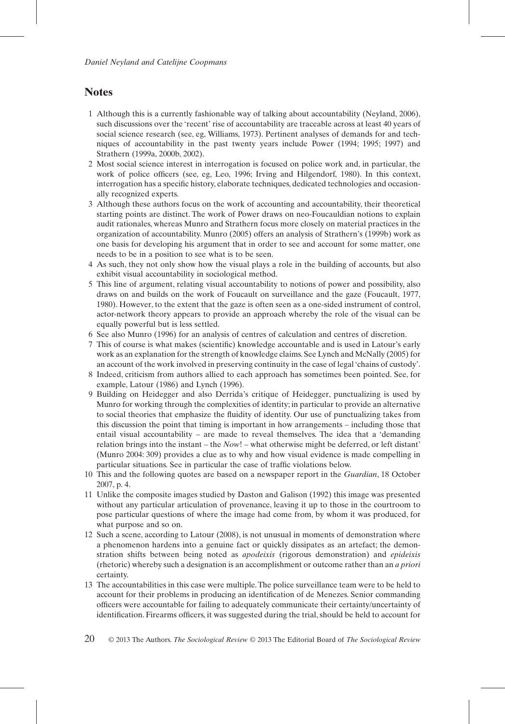## **Notes**

- 1 Although this is a currently fashionable way of talking about accountability (Neyland, 2006), such discussions over the 'recent' rise of accountability are traceable across at least 40 years of social science research (see, eg, Williams, 1973). Pertinent analyses of demands for and techniques of accountability in the past twenty years include Power (1994; 1995; 1997) and Strathern (1999a, 2000b, 2002).
- 2 Most social science interest in interrogation is focused on police work and, in particular, the work of police officers (see, eg, Leo, 1996; Irving and Hilgendorf, 1980). In this context, interrogation has a specific history, elaborate techniques, dedicated technologies and occasionally recognized experts.
- 3 Although these authors focus on the work of accounting and accountability, their theoretical starting points are distinct. The work of Power draws on neo-Foucauldian notions to explain audit rationales, whereas Munro and Strathern focus more closely on material practices in the organization of accountability. Munro (2005) offers an analysis of Strathern's (1999b) work as one basis for developing his argument that in order to see and account for some matter, one needs to be in a position to see what is to be seen.
- 4 As such, they not only show how the visual plays a role in the building of accounts, but also exhibit visual accountability in sociological method.
- 5 This line of argument, relating visual accountability to notions of power and possibility, also draws on and builds on the work of Foucault on surveillance and the gaze (Foucault, 1977, 1980). However, to the extent that the gaze is often seen as a one-sided instrument of control, actor-network theory appears to provide an approach whereby the role of the visual can be equally powerful but is less settled.
- 6 See also Munro (1996) for an analysis of centres of calculation and centres of discretion.
- 7 This of course is what makes (scientific) knowledge accountable and is used in Latour's early work as an explanation for the strength of knowledge claims. See Lynch and McNally (2005) for an account of the work involved in preserving continuity in the case of legal 'chains of custody'.
- 8 Indeed, criticism from authors allied to each approach has sometimes been pointed. See, for example, Latour (1986) and Lynch (1996).
- 9 Building on Heidegger and also Derrida's critique of Heidegger, punctualizing is used by Munro for working through the complexities of identity; in particular to provide an alternative to social theories that emphasize the fluidity of identity. Our use of punctualizing takes from this discussion the point that timing is important in how arrangements – including those that entail visual accountability – are made to reveal themselves. The idea that a 'demanding relation brings into the instant – the *Now*! – what otherwise might be deferred, or left distant' (Munro 2004: 309) provides a clue as to why and how visual evidence is made compelling in particular situations. See in particular the case of traffic violations below.
- 10 This and the following quotes are based on a newspaper report in the *Guardian*, 18 October 2007, p. 4.
- 11 Unlike the composite images studied by Daston and Galison (1992) this image was presented without any particular articulation of provenance, leaving it up to those in the courtroom to pose particular questions of where the image had come from, by whom it was produced, for what purpose and so on.
- 12 Such a scene, according to Latour (2008), is not unusual in moments of demonstration where a phenomenon hardens into a genuine fact or quickly dissipates as an artefact; the demonstration shifts between being noted as *apodeixis* (rigorous demonstration) and *epideixis* (rhetoric) whereby such a designation is an accomplishment or outcome rather than an *a priori* certainty.
- 13 The accountabilities in this case were multiple.The police surveillance team were to be held to account for their problems in producing an identification of de Menezes. Senior commanding officers were accountable for failing to adequately communicate their certainty/uncertainty of identification. Firearms officers, it was suggested during the trial, should be held to account for
- 20 © 2013 The Authors. *The Sociological Review* © 2013 The Editorial Board of *The Sociological Review*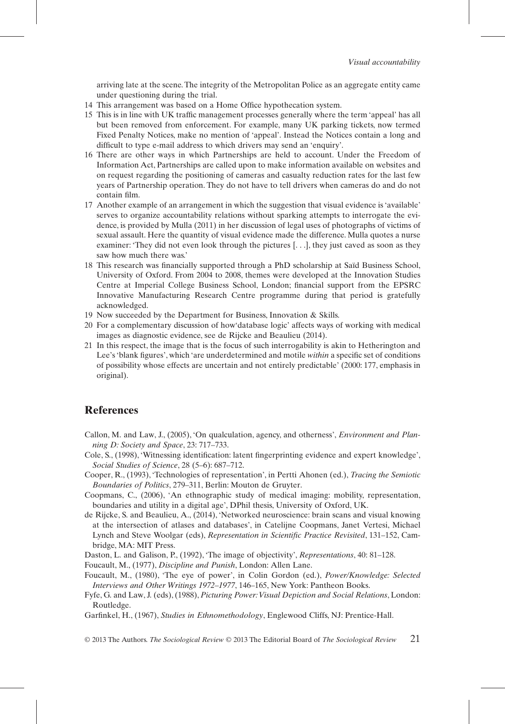arriving late at the scene. The integrity of the Metropolitan Police as an aggregate entity came under questioning during the trial.

- 14 This arrangement was based on a Home Office hypothecation system.
- 15 This is in line with UK traffic management processes generally where the term 'appeal' has all but been removed from enforcement. For example, many UK parking tickets, now termed Fixed Penalty Notices, make no mention of 'appeal'. Instead the Notices contain a long and difficult to type e-mail address to which drivers may send an 'enquiry'.
- 16 There are other ways in which Partnerships are held to account. Under the Freedom of Information Act, Partnerships are called upon to make information available on websites and on request regarding the positioning of cameras and casualty reduction rates for the last few years of Partnership operation. They do not have to tell drivers when cameras do and do not contain film.
- 17 Another example of an arrangement in which the suggestion that visual evidence is 'available' serves to organize accountability relations without sparking attempts to interrogate the evidence, is provided by Mulla (2011) in her discussion of legal uses of photographs of victims of sexual assault. Here the quantity of visual evidence made the difference. Mulla quotes a nurse examiner: 'They did not even look through the pictures [...], they just caved as soon as they saw how much there was.'
- 18 This research was financially supported through a PhD scholarship at Saïd Business School, University of Oxford. From 2004 to 2008, themes were developed at the Innovation Studies Centre at Imperial College Business School, London; financial support from the EPSRC Innovative Manufacturing Research Centre programme during that period is gratefully acknowledged.
- 19 Now succeeded by the Department for Business, Innovation & Skills.
- 20 For a complementary discussion of how'database logic' affects ways of working with medical images as diagnostic evidence, see de Rijcke and Beaulieu (2014).
- 21 In this respect, the image that is the focus of such interrogability is akin to Hetherington and Lee's 'blank figures', which 'are underdetermined and motile *within* a specific set of conditions of possibility whose effects are uncertain and not entirely predictable' (2000: 177, emphasis in original).

# **References**

Callon, M. and Law, J., (2005), 'On qualculation, agency, and otherness', *Environment and Planning D: Society and Space*, 23: 717–733.

Cole, S., (1998), 'Witnessing identification: latent fingerprinting evidence and expert knowledge', *Social Studies of Science*, 28 (5–6): 687–712.

- Cooper, R., (1993), 'Technologies of representation', in Pertti Ahonen (ed.), *Tracing the Semiotic Boundaries of Politics*, 279–311, Berlin: Mouton de Gruyter.
- Coopmans, C., (2006), 'An ethnographic study of medical imaging: mobility, representation, boundaries and utility in a digital age', DPhil thesis, University of Oxford, UK.
- de Rijcke, S. and Beaulieu, A., (2014), 'Networked neuroscience: brain scans and visual knowing at the intersection of atlases and databases', in Catelijne Coopmans, Janet Vertesi, Michael Lynch and Steve Woolgar (eds), *Representation in Scientific Practice Revisited*, 131–152, Cambridge, MA: MIT Press.
- Daston, L. and Galison, P., (1992), 'The image of objectivity', *Representations*, 40: 81–128.

Foucault, M., (1977), *Discipline and Punish*, London: Allen Lane.

Foucault, M., (1980), 'The eye of power', in Colin Gordon (ed.), *Power/Knowledge: Selected Interviews and Other Writings 1972–1977*, 146–165, New York: Pantheon Books.

Fyfe, G. and Law, J. (eds), (1988), *Picturing Power:Visual Depiction and Social Relations*, London: Routledge.

Garfinkel, H., (1967), *Studies in Ethnomethodology*, Englewood Cliffs, NJ: Prentice-Hall.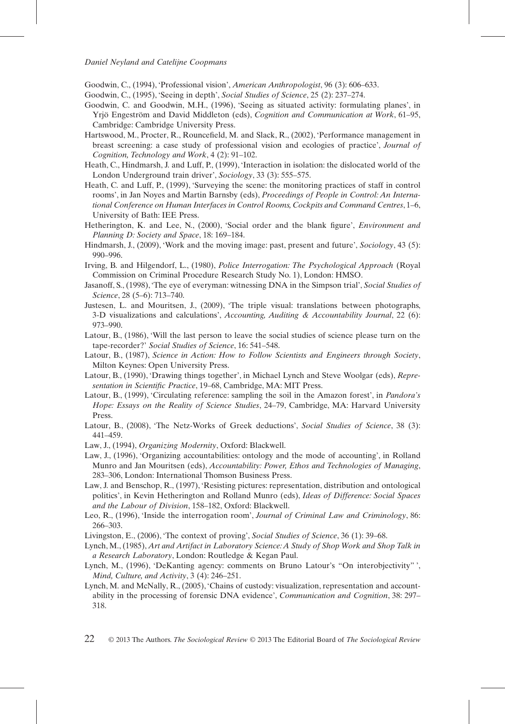Goodwin, C., (1994), 'Professional vision', *American Anthropologist*, 96 (3): 606–633.

- Goodwin, C., (1995), 'Seeing in depth', *Social Studies of Science*, 25 (2): 237–274.
- Goodwin, C. and Goodwin, M.H., (1996), 'Seeing as situated activity: formulating planes', in Yrjö Engeström and David Middleton (eds), *Cognition and Communication at Work*, 61–95, Cambridge: Cambridge University Press.
- Hartswood, M., Procter, R., Rouncefield, M. and Slack, R., (2002), 'Performance management in breast screening: a case study of professional vision and ecologies of practice', *Journal of Cognition, Technology and Work*, 4 (2): 91–102.
- Heath, C., Hindmarsh, J. and Luff, P., (1999), 'Interaction in isolation: the dislocated world of the London Underground train driver', *Sociology*, 33 (3): 555–575.
- Heath, C. and Luff, P., (1999), 'Surveying the scene: the monitoring practices of staff in control rooms', in Jan Noyes and Martin Barnsby (eds), *Proceedings of People in Control: An International Conference on Human Interfaces in Control Rooms, Cockpits and Command Centres*, 1–6, University of Bath: IEE Press.
- Hetherington, K. and Lee, N., (2000), 'Social order and the blank figure', *Environment and Planning D: Society and Space*, 18: 169–184.
- Hindmarsh, J., (2009), 'Work and the moving image: past, present and future', *Sociology*, 43 (5): 990–996.
- Irving, B. and Hilgendorf, L., (1980), *Police Interrogation: The Psychological Approach* (Royal Commission on Criminal Procedure Research Study No. 1), London: HMSO.
- Jasanoff, S., (1998), 'The eye of everyman: witnessing DNA in the Simpson trial', *Social Studies of Science*, 28 (5–6): 713–740.
- Justesen, L. and Mouritsen, J., (2009), 'The triple visual: translations between photographs, 3-D visualizations and calculations', *Accounting, Auditing & Accountability Journal*, 22 (6): 973–990.
- Latour, B., (1986), 'Will the last person to leave the social studies of science please turn on the tape-recorder?' *Social Studies of Science*, 16: 541–548.
- Latour, B., (1987), *Science in Action: How to Follow Scientists and Engineers through Society*, Milton Keynes: Open University Press.
- Latour, B., (1990), 'Drawing things together', in Michael Lynch and Steve Woolgar (eds), *Representation in Scientific Practice*, 19–68, Cambridge, MA: MIT Press.
- Latour, B., (1999), 'Circulating reference: sampling the soil in the Amazon forest', in *Pandora's Hope: Essays on the Reality of Science Studies*, 24–79, Cambridge, MA: Harvard University Press.
- Latour, B., (2008), 'The Netz-Works of Greek deductions', *Social Studies of Science*, 38 (3): 441–459.
- Law, J., (1994), *Organizing Modernity*, Oxford: Blackwell.
- Law, J., (1996), 'Organizing accountabilities: ontology and the mode of accounting', in Rolland Munro and Jan Mouritsen (eds), *Accountability: Power, Ethos and Technologies of Managing*, 283–306, London: International Thomson Business Press.
- Law, J. and Benschop, R., (1997), 'Resisting pictures: representation, distribution and ontological politics', in Kevin Hetherington and Rolland Munro (eds), *Ideas of Difference: Social Spaces and the Labour of Division*, 158–182, Oxford: Blackwell.
- Leo, R., (1996), 'Inside the interrogation room', *Journal of Criminal Law and Criminology*, 86: 266–303.
- Livingston, E., (2006), 'The context of proving', *Social Studies of Science*, 36 (1): 39–68.
- Lynch, M., (1985), *Art and Artifact in Laboratory Science: A Study of Shop Work and Shop Talk in a Research Laboratory*, London: Routledge & Kegan Paul.
- Lynch, M., (1996), 'DeKanting agency: comments on Bruno Latour's "On interobjectivity" ', *Mind, Culture, and Activity*, 3 (4): 246–251.
- Lynch, M. and McNally, R., (2005), 'Chains of custody: visualization, representation and accountability in the processing of forensic DNA evidence', *Communication and Cognition*, 38: 297– 318.